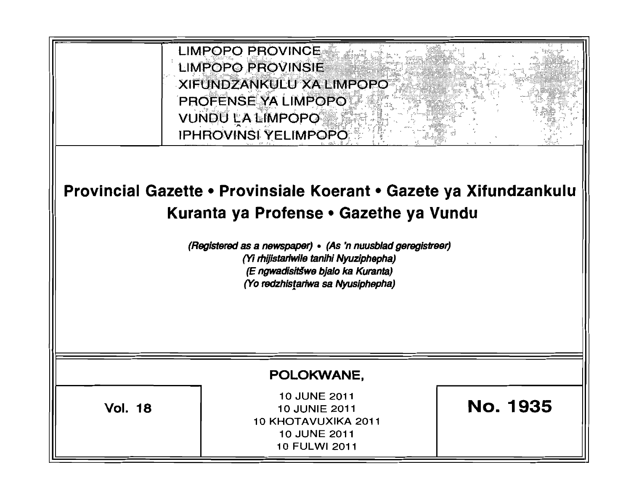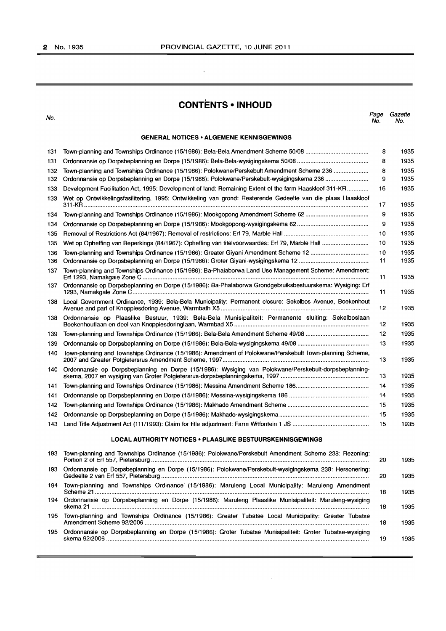$\mathcal{A}^{\pm}$ 

## **CONTENTS • INHOUD**

| No.  |                                                                                                             | Page<br>No. | Gazette<br>No. |
|------|-------------------------------------------------------------------------------------------------------------|-------------|----------------|
|      | <b>GENERAL NOTICES • ALGEMENE KENNISGEWINGS</b>                                                             |             |                |
| 131  |                                                                                                             | 8           | 1935           |
| 131  |                                                                                                             | 8           | 1935           |
| 132  | Town-planning and Townships Ordinance (15/1986): Polokwane/Perskebult Amendment Scheme 236                  | 8           | 1935           |
| 132  |                                                                                                             | 9           | 1935           |
| 133  | Development Facilitation Act, 1995: Development of land: Remaining Extent of the farm Haaskloof 311-KR      | 16          | 1935           |
| 133  | Wet op Ontwikkelingsfasilitering, 1995: Ontwikkeling van grond: Resterende Gedeelte van die plaas Haaskloof | 17          | 1935           |
| 134  | Town-planning and Townships Ordinance (15/1986): Mookgopong Amendment Scheme 62                             | 9           | 1935           |
| 134  |                                                                                                             | 9           | 1935           |
| 135  |                                                                                                             | 10          | 1935           |
| 135  |                                                                                                             | 10          | 1935           |
| 136  | Town-planning and Townships Ordinance (15/1986): Greater Giyani Amendment Scheme 12                         | 10          | 1935           |
| 136  |                                                                                                             | 11          | 1935           |
| 137  | Town-planning and Townships Ordinance (15/1986): Ba-Phalaborwa Land Use Management Scheme: Amendment:       | 11          | 1935           |
| 137  | Ordonnansie op Dorpsbeplanning en Dorpe (15/1986): Ba-Phalaborwa Grondgebruiksbestuurskema: Wysiging: Erf   | 11          | 1935           |
| 138  | Local Government Ordinance, 1939: Bela-Bela Municipality: Permanent closure: Sekelbos Avenue, Boekenhout    | 12          | 1935           |
| 138  | Ordonnansie op Plaaslike Bestuur, 1939: Bela-Bela Munisipaliteit: Permanente sluiting: Sekelboslaan         | 12          | 1935           |
| 139  |                                                                                                             | 12          | 1935           |
| 139  |                                                                                                             | 13          | 1935           |
| 140  | Town-planning and Townships Ordinance (15/1986): Amendment of Polokwane/Perskebult Town-planning Scheme,    | 13          | 1935           |
| 140  | Ordonnansie op Dorpsbeplanning en Dorpe (15/1986): Wysiging van Polokwane/Perskebult-dorpsbeplanning-       | 13          | 1935           |
| 141  |                                                                                                             | 14          | 1935           |
| 141  |                                                                                                             | 14          | 1935           |
| 142  |                                                                                                             | 15          | 1935           |
| 142  |                                                                                                             | 15          | 1935           |
| 143  |                                                                                                             | 15          | 1935           |
|      | <b>LOCAL AUTHORITY NOTICES . PLAASLIKE BESTUURSKENNISGEWINGS</b>                                            |             |                |
| 193  | Town-planning and Townships Ordinance (15/1986): Polokwane/Perskebult Amendment Scheme 238: Rezoning:       | 20          | 1935           |
| 193  | Ordonnansie op Dorpsbeplanning en Dorpe (15/1986): Polokwane/Perskebult-wysigingskema 238: Hersonering:     | 20          | 1935           |
| 194  | Town-planning and Townships Ordinance (15/1986): Maruleng Local Municipality: Maruleng Amendment            | 18          | 1935           |
| 194  | Ordonnansie op Dorpsbeplanning en Dorpe (15/1986): Maruleng Plaaslike Munisipaliteit: Maruleng-wysiging     | 18          | 1935           |
| 195. | Town-planning and Townships Ordinance (15/1986): Greater Tubatse Local Municipality: Greater Tubatse        | 18          | 1935           |
| 195  | Ordonnansie op Dorpsbeplanning en Dorpe (15/1986): Groter Tubatse Munisipaliteit: Groter Tubatse-wysiging   | 19          | 1935           |

 $\mathcal{L}^{\pm}$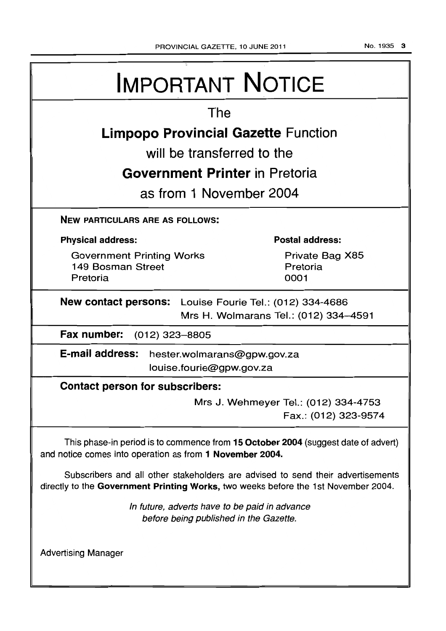No.1935 3

| <b>IMPORTANT NOTICE</b>                                                                                                                                               |  |  |  |  |  |
|-----------------------------------------------------------------------------------------------------------------------------------------------------------------------|--|--|--|--|--|
| The                                                                                                                                                                   |  |  |  |  |  |
| <b>Limpopo Provincial Gazette Function</b>                                                                                                                            |  |  |  |  |  |
| will be transferred to the                                                                                                                                            |  |  |  |  |  |
| Government Printer in Pretoria                                                                                                                                        |  |  |  |  |  |
| as from 1 November 2004                                                                                                                                               |  |  |  |  |  |
| <b>NEW PARTICULARS ARE AS FOLLOWS:</b>                                                                                                                                |  |  |  |  |  |
| <b>Postal address:</b><br><b>Physical address:</b>                                                                                                                    |  |  |  |  |  |
| Private Bag X85<br><b>Government Printing Works</b><br>149 Bosman Street<br>Pretoria<br>0001<br>Pretoria                                                              |  |  |  |  |  |
| New contact persons: Louise Fourie Tel.: (012) 334-4686<br>Mrs H. Wolmarans Tel.: (012) 334-4591                                                                      |  |  |  |  |  |
| Fax number: (012) 323-8805                                                                                                                                            |  |  |  |  |  |
| E-mail address: hester.wolmarans@gpw.gov.za<br>louise.fourie@gpw.gov.za                                                                                               |  |  |  |  |  |
| <b>Contact person for subscribers:</b>                                                                                                                                |  |  |  |  |  |
| Mrs J. Wehmeyer Tel.: (012) 334-4753<br>Fax.: (012) 323-9574                                                                                                          |  |  |  |  |  |
| This phase-in period is to commence from 15 October 2004 (suggest date of advert)<br>and notice comes into operation as from 1 November 2004.                         |  |  |  |  |  |
| Subscribers and all other stakeholders are advised to send their advertisements<br>directly to the Government Printing Works, two weeks before the 1st November 2004. |  |  |  |  |  |
| In future, adverts have to be paid in advance<br>before being published in the Gazette.                                                                               |  |  |  |  |  |
| <b>Advertising Manager</b>                                                                                                                                            |  |  |  |  |  |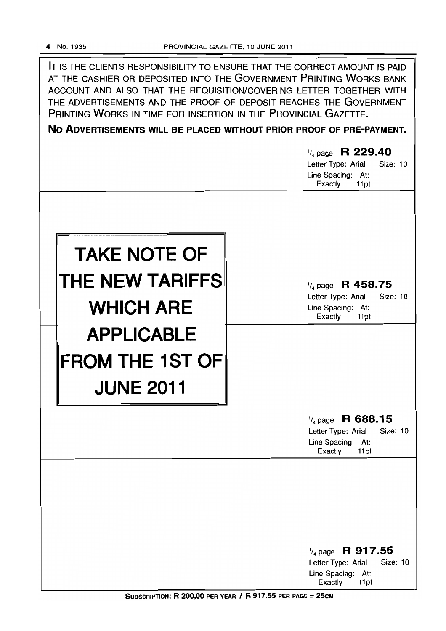IT IS THE CLIENTS RESPONSIBILITY TO ENSURE THAT THE CORRECT AMOUNT IS PAID AT THE CASHIER OR DEPOSITED INTO THE GOVERNMENT PRINTING WORKS BANK ACCOUNT AND ALSO THAT THE REQUISITION/COVERING LETTER TOGETHER WITH THE ADVERTISEMENTS AND THE PROOF OF DEPOSIT REACHES THE GOVERNMENT PRINTING WORKS IN TIME FOR INSERTION IN THE PROVINCIAL GAZETTE.

**No ADVERTISEMENTS WILL BE PLACED WITHOUT PRIOR PROOF OF PRE-PAYMENT.** 

|                                                                 | $\frac{1}{4}$ page R 229.40<br>Letter Type: Arial<br>Size: 10<br>Line Spacing: At:<br>Exactly<br>11pt        |
|-----------------------------------------------------------------|--------------------------------------------------------------------------------------------------------------|
| <b>TAKE NOTE OF</b><br>THE NEW TARIFFS<br><b>WHICH ARE</b>      | $\frac{1}{4}$ page R 458.75<br>Letter Type: Arial<br><b>Size: 10</b><br>Line Spacing: At:<br>Exactly<br>11pt |
| <b>APPLICABLE</b><br><b>FROM THE 1ST OF</b><br><b>JUNE 2011</b> |                                                                                                              |
|                                                                 | $\frac{1}{4}$ page R 688.15<br>Letter Type: Arial<br>Size: 10<br>Line Spacing: At:<br>Exactly<br>11pt        |
|                                                                 | $\frac{1}{4}$ page R 917.55<br>Letter Type: Arial<br>Size: 10<br>Line Spacing: At:<br>Exactly<br>11pt        |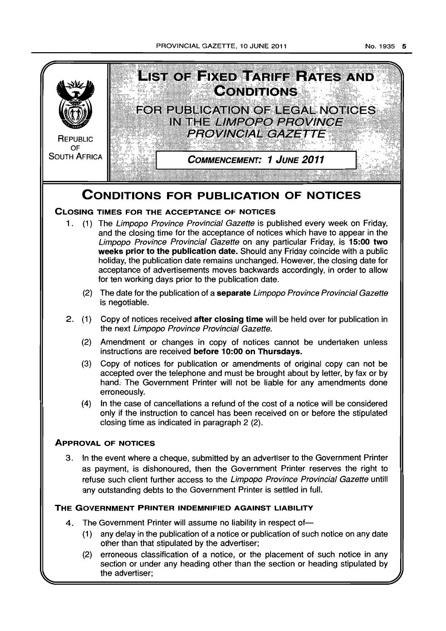

section or under any heading other than the section or heading stipulated by the advertiser;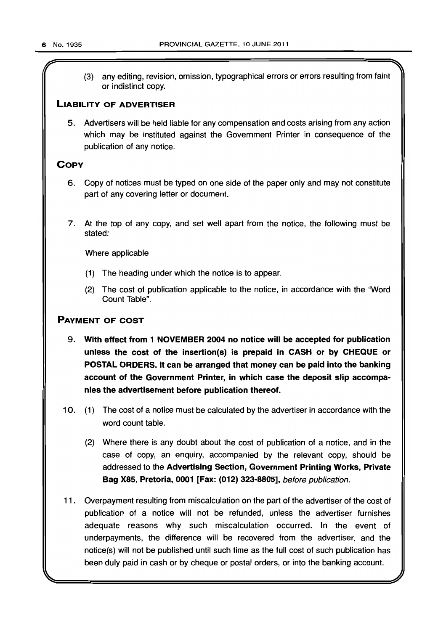(3) any editing, revision, omission, typographical errors or errors resulting from faint or indistinct copy.

## **LIABILITY OF ADVERTISER**

5. Advertisers will be held liable for any compensation and costs arising from any action which may be instituted against the Government Printer in consequence of the publication of any notice.

## **COPY**

- 6. Copy of notices must be typed on one side of the paper only and may not constitute part of any covering letter or document.
- 7. At the top of any copy, and set well apart from the notice, the following must be stated:

Where applicable

- (1) The heading under which the notice is to appear.
- (2) The cost of publication applicable to the notice, in accordance with the "Word Count Table".

## PAYMENT OF COST

- 9. With effect from 1 NOVEMBER 2004 no notice will be accepted for publication unless the cost of the insertion(s) is prepaid in CASH or by CHEQUE or POSTAL ORDERS. It can be arranged that money can be paid into the banking account of the Government Printer, in which case the deposit slip accompanies the advertisement before publication thereof.
- 10. (1) The cost of a notice must be calculated by the advertiser in accordance with the word count table.
	- (2) Where there is any doubt about the cost of publication of a notice, and in the case of copy, an enquiry, accompanied by the relevant copy, should be addressed to the Advertising Section, Government Printing Works, Private Bag X85, Pretoria, 0001 [Fax: (012) 323-8805], before publication.
- 11. Overpayment resulting from miscalculation on the part of the advertiser of the cost of publication of a notice will not be refunded, unless the advertiser furnishes adequate reasons why such miscalculation occurred. In the event of underpayments, the difference will be recovered from the advertiser, and the notice(s) will not be published until such time as the full cost of such publication has been duly paid in cash or by cheque or postal orders, or into the banking account.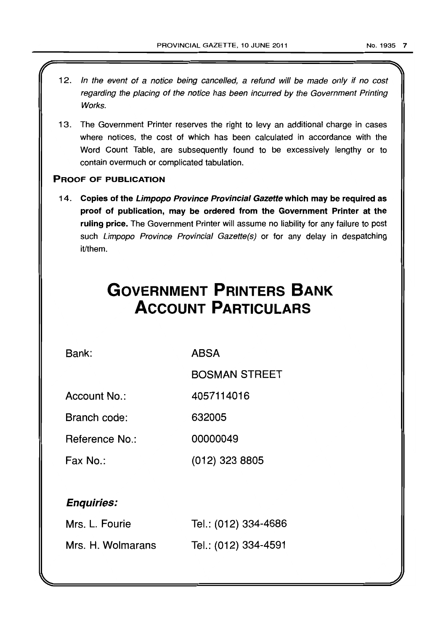- 12. In the event of a notice being cancelled, a refund will be made only if no cost regarding the placing of the notice has been incurred by the Government Printing Works.
- 13. The Government Printer reserves the right to levy an additional charge in cases where notices, the cost of which has been calculated in accordance with the Word Count Table, are subsequently found to be excessively lengthy or to contain overmuch or complicated tabulation.

## PROOF OF PUBLICATION

14. Copies of the Limpopo Province Provincial Gazette which may be required as proof of publication, may be ordered from the Government Printer at the ruling price. The Government Printer will assume no liability for any failure to post such Limpopo Province Provincial Gazette(s) or for any delay in despatching it/them.

# **GOVERNMENT PRINTERS BANK ACCOUNT PARTICULARS**

Bank:

ABSA

BOSMAN STREET

Account No.: 4057114016

Branch code: 632005

Reference No.: 00000049

Fax No.: (012) 323 8805

## Enquiries:

| Mrs. L. Fourie    | Tel.: (012) 334-4686 |
|-------------------|----------------------|
| Mrs. H. Wolmarans | Tel.: (012) 334-4591 |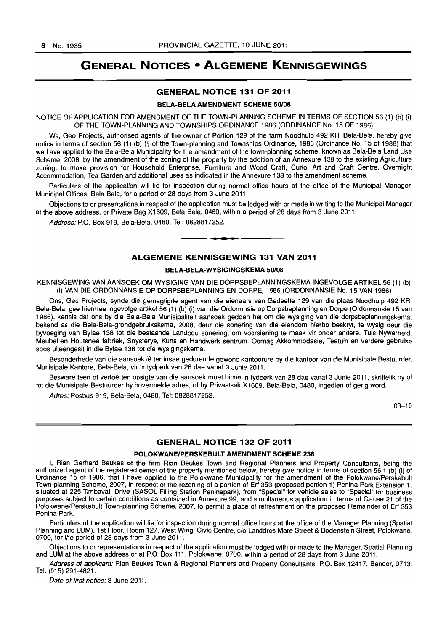## **GENERAL NOTICES • ALGEMENE KENNISGEWINGS**

## GENERAL NOTICE 131 OF 2011

#### BELA-BELA AMENDMENT SCHEME 50/08

NOTICE OF APPLICATION FOR AMENDMENT OF THE TOWN-PLANNING SCHEME IN TERMS OF SECTION 56 (1) (b) (i) OF THE TOWN-PLANNING AND TOWNSHIPS ORDINANCE 1986 (ORDINANCE No. 15 OF 1986)

We, Geo Projects, authorised agents of the owner of Portion 129 of the farm Noodhulp 492 KR, Bela-Bela, hereby give notice in terms of section 56 (1) (b) (i) of the Town-planning and Townships Ordinance, 1986 (Ordinance No. 15 of 1986) that we have applied to the Bela-Bela Municipality for the amendment of the town-planning scheme, known as Bela-Bela Land Use Scheme, 2008, by the amendment of the zoning of the property by the addition of an Annexure 138 to the existing Agriculture zoning, to make provision for Household Enterprise, Furniture and Wood Craft, Curio, Art and Craft Centre, Overnight Accommodation, Tea Garden and additional uses as indicated in the Annexure 138 to the amendment scheme.

Particulars of the application will lie for inspection during normal office hours at the office of the Municipal Manager, Municipal Offices, Bela Bela, for a period of 28 days from 3 June 2011.

Objections to or presentations in respect of the application must be lodged with or made in writing to the Municipal Manager at the above address, or Private Bag X 1609, Bela-Bela, 0480, within a period of 28 days from 3 June 2011.

Address: P.O. Box 919, Bela-Bela, 0480. Tel: 0828817252. . **- .** 

#### ALGEMENE KENNISGEWING 131 VAN 2011

## BELA-BELA-WYSIGINGSKEMA 50/08

KENNISGEWING VAN AANSOEK OM WYSIGING VAN DIE DORPSBEPLANNINGSKEMA INGEVOLGE ARTIKEL 56 (1) (b) (i) VAN DIE ORDONNANSIE OP DORPSBEPLANNING EN DORPE, 1986 (ORDONNANSIE No. 15 VAN 1986)

Ons, Geo Projects, synde die gemagtigde agent van die eienaars van Gedeelte 129 van die plaas Noodhulp 492 KR, Bela-Bela, gee hiermee ingevolge artikel 56 (1) (b) (i) van die Ordonnnsie op Dorpsbeplanning en Dorpe (Ordonnansie 15 van 1986), kennis dat ons by die Bela-Bela Munisipaliteit aansoek gedoen het om die wysiging van die dorpsbeplanningskema, bekend as die Bela-Bela-grondgebruikskema, 2008, deur die sonering van die eiendom hierbo beskryf, te wysig deur die byvoeging van Bylae 138 tot die bestaande Landbou sonering, om voorsiening te maak vir onder andere, Tuis Nywerheid, Meubel en Houtsnee fabriek, Snysterye, Kuns en Handwerk sentrum. Oornag Akkommodasie, Teetuin en verdere gebruike soos uiteengesit in die Bylae 138 tot die wysigingskema.

Besonderhede van die aansoek lê ter insae gedurende gewone kantoorure by die kantoor van die Munisipale Bestuurder, Munisipale Kantore, Bela-Bela, vir 'n tydperk van 28 dae vanaf 3 Junie 2011.

Besware teen of vertoë ten opsigte van die aansoek moet binne 'n tydperk van 28 dae vanaf 3 Junie 2011, skriftelik by of tot die Munisipale Bestuurder by bovermelde adres, of by Privaatsak X1609, Bela-Bela, 0480, ingedien of gerig word.

Adres: Posbus 919, Bela-Bela, 0480. Tel: 0828817252.

03-10

## GENERAL NOTICE 132 OF 2011

#### POLOKWANE/PERSKEBULT AMENDMENT SCHEME 236

I, Rian Gerhard Beukes of the firm Rian Beukes Town and Regional Planners and Property Consultants, being the authorized agent of the registered owner of the property mentioned below, hereby give notice in terms of section 56 1 (b) (i) of Ordinance 15 of 1986, that I have applied to the Polokwane Municipality for the amendment of the Polokwane/Perskebult Town-planning Scheme, 2007, in respect of the rezoning of a portion of Erf 353 (proposed portion 1) Penina Park Extension 1, situated at 225 Timbavati Drive (SASOL Filling Station Peninapark), from "Special" for vehicle sales to "Special" for business purposes subject to certain conditions as contained in Annexure 99, and simultaneous application in terms of Clause 21 of the Polokwane/Perskebult Town-planning Scheme, 2007, to permit a place of refreshment on the proposed Remainder of Erf 353 Penina Park.

Particulars of the application will lie for inspection during normal office hours at the office of the Manager Planning (Spatial Planning and LUM), 1st Floor, Room 127, West Wing, Civic Centre, c/o Landdros Mare Street & Bodenstein Street, Polokwane, 0700, for the period of 28 days from 3 June 2011.

Objections to or representations in respect of the application must be lodged with or made to the Manager, Spatial Planning and LUM at the above address or at P.O. Box 111, Polokwane, 0700, within a period of 28 days from 3 June 2011.

Address of applicant: Rian Beukes Town & Regional Planners and Property Consultants, P.O. Box 12417, Bendor, 0713. Tel: (015) 291-4821.

Date of first notice: 3 June 2011.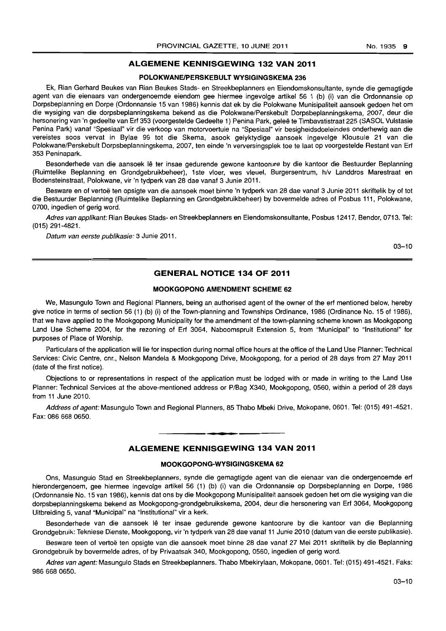## ALGEMENE KENNISGEWING 132 VAN 2011

#### POLOKWANE/PERSKEBULT WYSIGINGSKEMA 236

Ek, Rian Gerhard Beukes van Rian Beukes Stads- en Streekbeplanners en Eiendomskonsultante, synde die gemagtigde agent van die eienaars van ondergenoemde eiendom gee hiermee ingevolge artikel 56 1 (b) (i) van die Ordonnansie op Dorpsbeplanning en Dorpe (Ordonnansie 15 van 1986) kennis dat ek by die Polokwane Munisipaliteit aansoek gedoen het om die wysiging van die dorpsbeplanningskema bekend as die Polokwane/Perskebult Dorpsbeplanningskema, 2007, deur die hersonering van 'n gedeelte van Erf 353 (voorgestelde Gedeelte 1) Penina Park, geleë te Timbavatistraat 225 (SASOL Vulstasie Penina Park) vanaf "Spesiaal" vir die verkoop van motorvoertuie na "Spesiaal" vir besigheidsdoeleindes onderhewig aan die vereistes soos vervat in Bylae 99 tot die Skema, asook gelyktydige aansoek ingevolge Klousule 21 van die Polokwane/Perskebult Dorpsbeplanningskema, 2007, ten einde 'n verversingsplek toe te laat op voorgestelde Restant van Ert 353 Peninapark.

Besonderhede van die aansoek lê ter insae gedurende gewone kantoorure by die kantoor die Bestuurder Beplanning (Ruimtelike Beplanning en Grondgebruikbeheer), 1 ste vloer, wes vleuel, Burgersentrum, hlv Landdros Marestraat en Bodensteinstraat, Polokwane, vir 'n tydperk van 28 dae vanaf 3 Junie 2011.

Besware en of vertoë ten opsigte van die aansoek moet binne 'n tydperk van 28 dae vanaf 3 Junie 2011 skriftelik by of tot die Bestuurder Beplanning (Ruimtelike Beplanning en Grondgebruikbeheer) by bovermelde adres of Posbus 111, Polokwane, 0700, ingedien of gerig word.

Adres van applikant: Rian Beukes Stads- en Streekbeplanners en Eiendomskonsultante, Posbus 12417, Bendor, 0713. Tel: (015) 291-4821.

Datum van eerste publikasie: 3 Junie 2011.

03-10

## GENERAL NOTICE 134 OF 2011

#### MOOKGOPONG AMENDMENT SCHEME 62

We, Masungulo Town and Regional Planners, being an authorised agent of the owner of the erf mentioned below, hereby give notice in terms of section 56 (1) (b) (i) of the Town-planning and Townships Ordinance, 1986 (Ordinance No. 15 of 1986), that we have applied to the Mookgopong Municipality for the amendment of the town-planning scheme known as Mookgopong Land Use Scheme 2004, for the rezoning of Erf 3064, Naboomspruit Extension 5, from "Municipal" to "Institutional" for purposes of Place of Worship.

Particulars of the application will lie for inspection during normal office hours at the office of the Land Use Planner: Technical Services: Civic Centre, cnr., Nelson Mandela & Mookgopong Drive, Mookgopong, for a period of 28 days from 27 May 2011 (date of the first notice).

Objections to or representations in respect of the application must be lodged with or made in writing to the Land Use Planner: Technical Services at the above-mentioned address or P/Bag X340, Mookgopong, 0560, within a period of 28 days from 11 June 2010.

Address of agent: Masungulo Town and Regional Planners, 85 Thabo Mbeki Drive, Mokopane, 0601. Tel: (015) 491-4521. Fax: 086 668 0650. . **- .** 

## ALGEMENE KENNISGEWING 134 VAN 2011

## MOOKGOPONG·WYSIGINGSKEMA 62

Ons, Masungulo Stad en Streekbeplanners, synde die gemagtigde agent van die eienaar van die ondergenoemde ert hierondergenoem, gee hiermee ingevolge artikel 56 (1) (b) (i) van die Ordonnansie op Dorpsbeplanning en Dorpe, 1986 (Ordonnansie No. 15 van 1986), kennis dat ons by die Mookgopong Munisipaliteit aansoek gedoen het om die wysiging van die dorpsbeplanningskema bekend as Mookgopong-grondgebruikskema, 2004, deur die hersonering van Erf 3064, Mookgopong Uitbreiding 5, vanaf "Municipal" na "Institutional" vir a kerk.

Besonderhede van die aansoek lê ter insae gedurende gewone kantoorure by die kantoor van die Beplanning Grondgebruik: Tekniese Dienste, Mookgopong, vir 'n tydperk van 28 dae vanaf 11 Junie 2010 (datum van die eerste publikasie).

Besware teen of vertoë ten opsigte van die aansoek moet binne 28 dae vanaf 27 Mei 2011 skriftelik by die Beplanning Grondgebruik by bovermelde adres, of by Privaatsak 340, Mookgopong, 0560, ingedien of gerig word.

Adres van agent: Masungulo Stads en Streekbeplanners. Thabo Mbekirylaan, Mokopane, 0601. Tel: (015) 491-4521. Faks: 9866680650.

03-10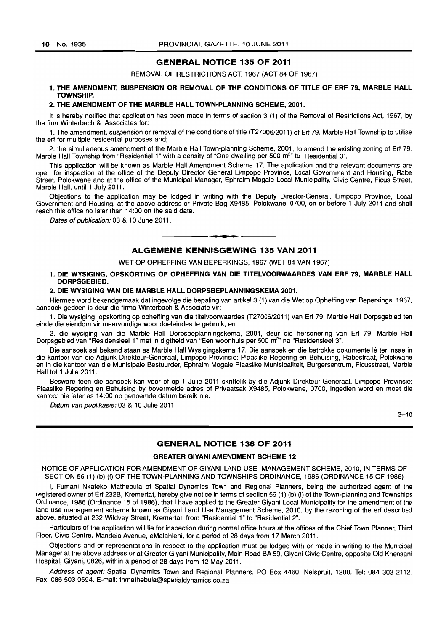#### GENERAL NOTICE 135 OF 2011

REMOVAL OF RESTRICTIONS ACT, 1967 (ACT 84 OF 1967)

### 1. THE AMENDMENT, SUSPENSION OR REMOVAL OF THE CONDITIONS OF TITLE OF ERF 79, MARBLE HALL TOWNSHIP.

#### 2. THE AMENDMENT OF THE MARBLE HALL TOWN-PLANNING SCHEME, 2001.

It is hereby notified that application has been made in terms of section 3 (1) of the Removal of Restrictions Act, 1967, by the firm Winterbach & Associates for:

1. The amendment, suspension or removal of the conditions of title (T27006/2011) of Erf 79, Marble Hall Township to utilise the erf for multiple residential purposes and;

2. the simultaneous amendment of the Marble Hall Town-planning Scheme, 2001, to amend the existing zoning of Erf 79, Marble Hall Township from "Residential 1" with a density of "One dwelling per 500 m<sup>2</sup>" to "Residential 3".

This application will be known as Marble Hall Amendment Scheme 17. The application and the relevant documents are open for inspection at the office of the Deputy Director General limpopo Province, Local Government and Housing, Rabe Street, Polokwane and at the office of the Municipal Manager, Ephraim Mogale Local Municipality, Civic Centre, Ficus Street, Marble Hall, until 1 July 2011.

Objections to the application may be lodged in writing with the Deputy Director-General, limpopo Province, Local Government and Housing, at the above address or Private Bag X9485, Polokwane, 0700, on or before 1 July 2011 and shall reach this office no later than 14:00 on the said date.

Dates of publication: 03 & 10 June 2011.

## ALGEMENE KENNISGEWING 135 VAN 2011

**8 •** 

#### WET OP OPHEFFING VAN BEPERKINGS, 1967 (WET 84 VAN 1967)

#### 1. DIE WVSIGING, OPSKORTING OF OPHEFFING VAN DIE TITELVOORWAARDES VAN ERF 79, MARBLE HALL DORPSGEBIED.

#### 2. DIE WVSIGING VAN DIE MARBLE HALL DORPSBEPLANNINGSKEMA 2001.

Hiermee word bekendgemaak dat ingevolge die bepaling van artikel 3 (1) van die Wet op Opheffing van Beperkings, 1967, aansoek gedoen is deur die firma Winterbach & Associate vir:

1. Die wysiging, opskorting op opheffing van die titelvoorwaardes (T27006/2011) van Erf 79, Marble Hall Dorpsgebied ten einde die eiendom vir meervoudige woondoeleindes te. gebruik; en

2. die wysiging van die Marble Hall Dorpsbeplanningskema, 2001, deur die hersonering van Erf 79, Marble Hall Dorpsgebied van "Residensieel 1" met 'n digtheid van "Een woonhuis per 500 m<sup>2</sup>" na "Residensieel 3".

Die aansoek sal bekend staan as Marble Hall Wysigingskema 17. Die aansoek en die betrokke dokumente Ie ter insae in die kantoor van die Adjunk Direkteur-Generaal, limpopo Provinsie: Plaaslike Regering en Behuising, Rabestraat, Polokwane en in die kantoor van die Munisipale Bestuurder, Ephraim Mogale Plaaslike Munisipaliteit, Burgersentrum, Ficusstraat, Marble Hall tot 1 Julie 2011.

Besware teen die aansoek kan voor of op 1 Julie 2011 skriftelik by die Adjunk Direkteur-Generaal, limpopo Provinsie: Plaaslike Regering en Behuising by bovermelde adres of Privaatsak X9485, Polokwane, 0700, ingedien word en moet die kantoor nie later as 14:00 op genoemde datum bereik nie.

Datum van publikasie: 03 & 10 Julie 2011.

 $3 - 10$ 

## GENERAL NOTICE 136 OF 2011

#### GREATER GIVANI AMENDMENT SCHEME 12

NOTICE OF APPLICATION FOR AMENDMENT OF GIYANI LAND USE MANAGEMENT SCHEME, 2010, IN TERMS OF SECTION 56 (1) (b) (i) OF THE TOWN-PLANNING AND TOWNSHIPS ORDINANCE, 1986 (ORDINANCE 15 OF 1986)

I, Fumani Nkateko Mathebula of Spatial Dynamics Town and Regional Planners, being the authorized agent of the registered owner of Erf 232B, Kremertat, hereby give notice in terms of section 56 (1) (b) (i) of the Town-planning and Townships Ordinance, 1986 (Ordinance 15 of 1986), that I have applied to the Greater Giyani Local Municipality for the amendment of the land use management scheme known as Giyani Land Use Management Scheme, 2010, by the rezoning of the erf described above, situated at 232 Wildvey Street, Kremertat, from "Residential 1" to "Residential 2".

Particulars of the application will lie for inspection during normal office hours at the offices of the Chief Town Planner, Third Floor, Civic Centre, Mandela Avenue, eMalahleni, for a period of 28 days from 17 March 2011.

Objections and or representations in respect to the application must be lodged with or made in writing to the Municipal Manager at the above address or at Greater Giyani Municipality, Main Road BA 59, Giyani Civic Centre, opposite Old Khensani Hospital, Giyani, 0826, within a period of 28 days from 12 May 2011.

Address of agent: Spatial Dynamics Town and Regional Planners, PO Box 4460, Nelspruit, 1200. Tel: 084 303 2112. Fax: 086 503 0594. E-mail: fnmathebula@spatialdynamics.co.za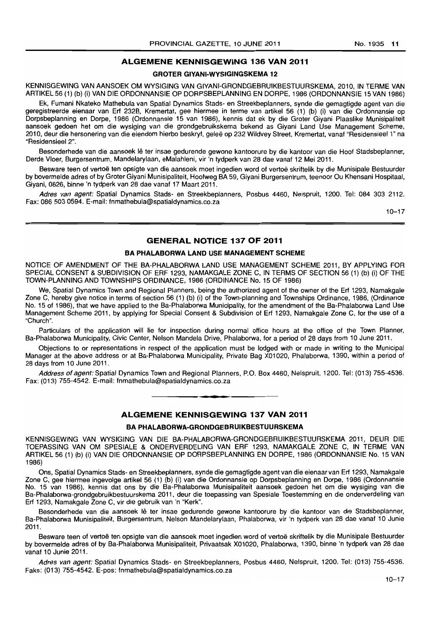## ALGEMENE KENNISGEWING 136 VAN 2011

## GROTER GIYANI-WYSIGINGSKEMA 12

KENNISGEWING VAN AANSOEK OM WYSIGING VAN GIYANI-GRONDGEBRUIKBESTUURSKEMA, 2010, IN TERME VAN ARTIKEL 56 (1) (b) (i) VAN DIE ORDONNANSIE OP DORPSBEPLANNING EN DORPE, 1986 (ORDONNANSIE 15 VAN 1986)

Ek, Fumani Nkateko Mathebula van Spatial Dynamics Stads- en Streekbeplanners, synde die gemagtigde agent van die geregistreerde eienaar van Erf 232B, Kremertat, gee hiermee in terme van artikel 56 (1) (b) (i) van die Ordonnansie op Dorpsbeplanning en Dorpe, 1986 (Ordonnansie 15 van 1986), kennis dat ek by die Groter Giyani Plaaslike Munisipaliteit aansoek gedoen het om die wysiging van die grondgebruikskema bekend as Giyani Land Use Management Scheme, 2010, deur die hersonering van die eiendom hierbo beskryf, gelee op 232 Wildvey Street, Kremertat, vanaf "ResidensieeI1" na "Residensieel 2".

Besonderhede van die aansoek lê ter insae gedurende gewone kantoorure by die kantoor van die Hoof Stadsbeplanner, Derde Vloer, Burgersentrum, Mandelarylaan, eMalahleni, vir 'n tydperk van 28 dae vanaf 12 Mei 2011.

Besware teen of vertoë ten opsigte van die aansoek moet ingedien word of vertoë skriftelik by die Munisipale Bestuurder by bovermelde adres of by Groter Giyani Munisipaliteit, Hoofweg BA 59, Giyani Burgersentrum, teenoor Ou Khensani Hospitaal, Giyani, 0826, binne 'n tydperk van 28 dae vanaf 17 Maart 2011.

Adres van agent: Spatial Dynamics Stads- en Streekbeplanners, Posbus 4460, Nelspruit, 1200. Tel: 084 303 2112. Fax: 086 503 0594. E-mail: fnmathebula@spatialdynamics.co.za

 $10 - 17$ 

#### GENERAL NOTICE 137 OF 2011

#### BA PHALABORWA LAND USE MANAGEMENT SCHEME

NOTICE OF AMENDMENT OF THE BA-PHALABORWA LAND USE MANAGEMENT SCHEME 2011, BY APPLYING FOR SPECIAL CONSENT & SUBDIVISION OF ERF 1293, NAMAKGALE ZONE C, IN TERMS OF SECTION 56 (1) (b) (i) OF THE TOWN-PLANNING AND TOWNSHIPS ORDINANCE, 1986 (ORDINANCE No. 15 OF 1986)

We, Spatial Dynamics Town and Regional Planners, being the authorized agent of the owner of the Erf 1293, Namakgale Zone C, hereby give notice in terms of section 56 (1) (b) (i) of the Town-planning and Townships Ordinance, 1986, (Ordinance No. 15 of 1986), that we have applied to the Ba-Phalaborwa Municipality, for the amendment of the Ba-Phalaborwa Land Use Management Scheme 2011, by applying for Special Consent & Subdivision of Ert 1293, Namakgale Zone C, for the use of a "Church".

Particulars of the application will lie for inspection during normal office hours at the office of the Town Planner, Ba-Phalaborwa Municipality, Civic Center, Nelson Mandela Drive, Phalaborwa, for a period of 28 days from 10 June 2011.

Objections to or representations in respect of the application must be lodged with or made in writing to the Municipal Manager at the above address or at Ba-Phalaborwa Municipality, Private Bag X01020. Phalaborwa, 1390, within a period of 28 days from 10 June 2011.

Address of agent: Spatial Dynamics Town and Regional Planners, P.O. Box 4460, Nelspruit, 1200. Tel: (013) 755-4536. Fax: (013) 755-4542. E-mail: fnmathebula@spatialdynamics.co.za . **-.** 

## ALGEMENE KENNISGEWING 137 VAN 2011

#### BA PHALABORWA-GRONDGEBRUIKBESTUURSKEMA

KENNISGEWING VAN WYSIGING VAN DIE BA-PHALABORWA-GRONDGEBRUIKBESTUURSKEMA 2011, DEUR DIE TOE PASSING VAN OM SPESIALE & ONDERVERDELING VAN ERF 1293, NAMAKGALE ZONE C, IN TERME VAN ARTIKEL 56 (1) (b) (i) VAN DIE ORDONNANSIE OP DORPSBEPLANNING EN DORPE, 1986 (ORDONNANSIE No. 15 VAN 1986)

Ons, Spatial Dynamics Stads- en Streekbeplanners, synde die gemagtigde agent van die eienaar van Erf 1293, Namakgale Zone C, gee hiermee ingevolge artikel 56 (1) (b) (i) van die Ordonnansie op Dorpsbeplanning en Dorpe, 1986 (Ordonnansie No. 15 van 1986), kennis dat ons by die Ba-Phalaborwa Munisipaliteit aansoek gedoen het om die wysiging van die Ba-Phalaborwa-grondgebruikbestuurskema 2011, deur die toepassing van Spesiale Toestemming en die onderverdeling van Erf 1293, Namakgale Zone C, vir die gebruik van 'n "Kerk".

Besonderhede van die aansoek lê ter insae gedurende gewone kantoorure by die kantoor van die Stadsbeplanner, Ba-Phalaborwa Munisipaliteit, Burgersentrum, Nelson Mandelarylaan, Phalaborwa, vir 'n tydperk van 28 dae vanaf 10 Junie 2011.

Besware teen of vertoë ten opsigte van die aansoek moet ingedien word of vertoë skriftelik by die Munisipale Bestuurder by bovermelde adres of by Ba-Phalaborwa Munisipaliteit, Privaatsak X01020, Phalaborwa, 1390, binne 'n tydperk van 28 dae vanaf 10 Junie 2011.

Adres van agent: Spatial Dynamics Stads- en Streekbeplanners, Posbus 4460, Nelspruit, 1200. Tel: (013) 755-4536. Faks: (013) 755-4542. E-pos: fnmathebula@spatialdynamics.co.za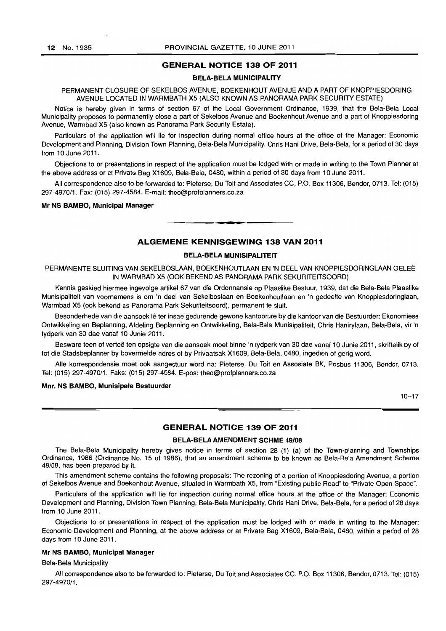### GENERAL NOTICE 138 OF 2011

#### BELA·BELA MUNICIPALITY

PERMANENT CLOSURE OF SEKELBOS AVENUE, BOEKENHOUT AVENUE AND A PART OF KNOPPIESDORING AVENUE LOCATED IN WARMBATH X5 (ALSO KNOWN AS PANORAMA PARK SECURITY ESTATE)

Notice is hereby given in terms of section 67 of the Local Government Ordinance, 1939, that the Bela-Bela Local Municipality proposes to permanently close a part of Sekelbos Avenue and Boekenhout Avenue and a part of Knoppiesdoring Avenue, Warmbad X5 (also known as Panorama Park Security Estate).

Particulars of the application will lie for inspection during normal office hours at the office of the Manager: Economic Development and Planning, Division Town Planning, Bela-Bela Municipality, Chris Hani Drive, Bela-Bela, for a period of 30 days from 10 June 2011.

Objections to or presentations in respect of the application must be lodged with or made in writing to the Town Planner at the above address or at Private Bag X1609, Bela-Bela, 0480, within a period of 30 days from 10 June 2011.

All correspondence also to be forwarded to: Pieterse, Du Toit and Associates CC, P.O. Box 11306, Bendor, 0713. Tel: (015) 297-4970/1. Fax: (015) 297-4584. E-mail: theo@profplanners.co.za

. **\_.** 

#### Mr NS BAMBO, Municipal Manager

## ALGEMENE KENNISGEWING 138 VAN 2011

## BELA·BELA MUNISIPALITEIT

PERMANENTE SLUITING VAN SEKELBOSLAAN, BOEKENHOUTLAAN EN 'N DEEL VAN KNOPPIESDORINGLAAN GELEE IN WARMBAD X5 (ooK BEKEND AS PANORAMA PARK SEKURITEITSOORD)

Kennis geskied hiermee ingevolge artikel 67 van die Ordonnansie op Plaaslike Bestuur, 1939, dat die Bela-Bela Plaaslike Munisipaliteit van voornemens is om 'n deel van Sekelboslaan en Boekenhoutlaan en 'n gedeelte van Knoppiesdoringlaan, Warmbad X5 (ook bekend as Panorama Park Sekuriteitsoord), permanent te sluit.

Besonderhede van die aansoek lê ter insae gedurende gewone kantoorure by die kantoor van die Bestuurder: Ekonomiese Ontwikkeling en Beplanning, Afdeling Beplanning en Ontwikkeling, Bela-Bela Munisipaliteit, Chris Hanirylaan, Bela-Bela, vir 'n tydperk van 30 dae vanaf 10 Junie 2011.

Besware teen of vertoë ten opsigte van die aansoek moet binne 'n tydperk van 30 dae vanaf 10 Junie 2011, skriftelik by of tot die Stadsbeplanner by bovermelde adres of by Privaatsak X1609, Bela-Bela, 0480, ingedien of gerig word.

Aile korrespondensie moet ook aangestuur word na: Pieterse, Du Toit en Assosiate BK, Posbus 11306, Bendor, 0713. Tel: (015) 297-4970/1. Faks: (015) 297-4584. E-pos: theo@profplanners.co.za

#### Mnr. NS BAMBO, Munisipale Bestuurder

 $10 - 17$ 

## GENERAL NOTICE 139 OF 2011

#### BELA-BELA AMENDMENT SCHME 49/08

The Bela-Bela Municipality hereby gives notice in terms of section 28 (1) {a} of the Town-planning and Townships Ordinance, 1986 (Ordinance No. 15 of 1986), that an amendment scheme to be known as Bela-Bela Amendment Scheme 49/08, has been prepared by it.

This amendment scheme contains the following proposals: The rezoning of a portion of Knoppiesdoring Avenue, a portion of Sekelbos Avenue and Boekenhout Avenue, situated in Warmbath X5, from "Existing public Road" to "Private Open Space".

Particulars of the application will lie for inspection during normal office hours at the office of the Manager: Economic Development and Planning, Division Town Planning, Bela-Bela Municipality, Chris Hani Drive, Bela-Bela, for a period of 28 days from 10 June 2011.

Objections to or presentations in respect of the application must be lodged with or made in writing to the Manager: Economic Development and Planning, at the above address or at Private Bag X1609, Bela-Bela, 0480, within a period of 28 days from 10 June 2011.

## Mr NS BAMBO, Municipal Manager

### Bela-Bela Municipality

All correspondence also to be forwarded to: Pieterse, Du Toit and Associates CC, P.O. Box 11306, Bendor, 0713. Tel: (015) 297-4970/1.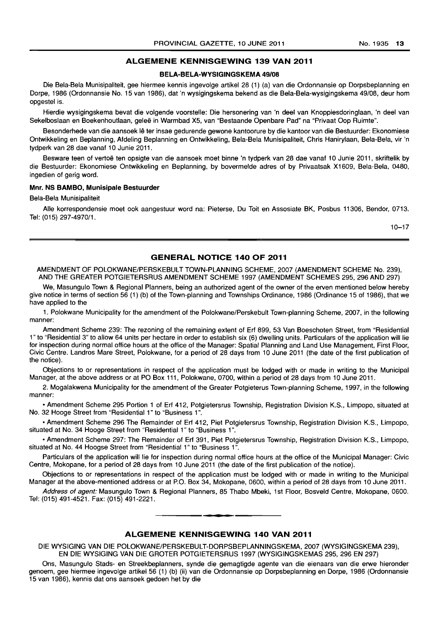### **ALGEMENE KENNISGEWING 139 VAN 2011**

#### **BELA-BELA-WYSIGINGSKEMA 49/08**

Die Bela-Bela Munisipaliteit, gee hiermee kennis ingevolge artikel 28 (1) (a) van die Ordonnansie op Dorpsbeplanning en Dorpe, 1986 (Ordonnansie No. 15 van 1986), dat 'n wysigingskema bekend as die Bela-Bela-wysigingskema 49/08, deur hom opgestel is.

Hierdie wysigingskema bevat die volgende voorstelle: Die hersonering van 'n deel van Knoppiesdoringlaan, 'n deel van Sekelboslaan en Boekenhoutlaan, geleë in Warmbad X5, van "Bestaande Openbare Pad" na "Privaat Oop Ruimte".

Besonderhede van die aansoek lê ter insae gedurende gewone kantoorure by die kantoor van die Bestuurder: Ekonomiese Ontwikkeling en Beplanning, Afdeling Beplanning en Ontwikkeling, Bela-Bela Munisipaliteit, Chris Hanirylaan, Bela-Bela, vir 'n tydperk van 28 dae vanaf 10 Junie 2011.

Besware teen of vertoë ten opsigte van die aansoek moet binne 'n tydperk van 28 dae vanaf 10 Junie 2011, skriftelik by die Bestuurder: Ekonomiese Ontwikkeling en Beplanning, by bovermelde adres of by Privaatsak X1609, Bela-Bela, 0480, ingedien of gerig word.

## **Mnr. NS BAMBO, Munisipale Bestuurder**

Bela-Bela Munisipaliteit

Aile korrespondensie moet ook aangestuur word na: Pieterse, Du Toit en Assosiate BK, Posbus 11306, Bendor, 0713. Tel: (015) 297-4970/1.

10-17

#### **GENERAL NOTICE 140 OF 2011**

AMENDMENT OF POLOKWANE/PERSKEBULT TOWN-PLANNING SCHEME, 2007 (AMENDMENT SCHEME No. 239), AND THE GREATER POTGIETERSRUS AMENDMENT SCHEME 1997 (AMENDMENT SCHEMES 295, 296 AND 297)

We, Masungulo Town & Regional Planners, being an authorized agent of the owner of the erven mentioned below hereby give notice in terms of section 56 (1) (b) of the Town-planning and Townships Ordinance, 1986 (Ordinance 15 of 1986), that we have applied to the

1. Polokwane Municipality for the amendment of the Polokwane/Perskebult Town-planning Scheme, 2007, in the following manner:

Amendment Scheme 239: The rezoning of the remaining extent of Erf 899, 53 Van Boeschoten Street, from "Residential 1" to "Residential 3" to allow 64 units per hectare in order to establish six (6) dwelling units. Particulars of the application will lie for inspection during normal office hours at the office of the Manager: Spatial Planning and Land Use Management, First Floor, Civic Centre. Landros Mare Street, Polokwane, for a period of 28 days from 10 June 2011 (the date of the first publication of the notice).

Objections to or representations in respect of the application must be lodged with or made in writing to the Municipal Manager, at the above address or at PO Box 111, Polokwane, 0700, within a period of 28 days from 10 June 2011.

2. Mogalakwena Municipality for the amendment of the Greater Potgieterus Town-planning Scheme, 1997, in the following manner:

• Amendment Scheme 295 Portion 1 of Erf 412, Potgietersrus Township, Registration Division K.S., Limpopo, situated at No. 32 Hooge Street from "Residential 1" to "Business 1".

• Amendment Scheme 296 The Remainder of Erf 412, Piet Potgietersrus Township, Registration Division K.S., Limpopo, situated at No. 34 Hooge Street from "Residential 1" to "Business 1".

• Amendment Scheme 297: The Remainder of Erf 391, Piet Potgietersrus Township, Registration Division K.S., Limpopo, situated at No. 44 Hoogse Street from "Residential 1" to "Business 1".

Particulars of the application will lie for inspection during normal office hours at the office of the Municipal Manager: Civic Centre, Mokopane, for a period of 28 days from 10 June 2011 (the date of the first publication of the notice).

Objections to or representations in respect of the application must be lodged with or made in writing to the Municipal Manager at the above-mentioned address or at P.O. Box 34, Mokopane, 0600, within a period of 28 days from 10 June 2011.

Address of agent: Masungulo Town & Regional Planners, 85 Thabo Mbeki, 1st Floor, Bosveld Centre, Mokopane, 0600. Tel: (015) 491-4521. Fax: (015) 491-2221.

#### **ALGEMENE KENNISGEWING 140 VAN 2011**

**- I** 

DIE WYSIGING VAN DIE POLOKWANE/PERSKEBULT-DORPSBEPLANNINGSKEMA, 2007 (WYSIGINGSKEMA 239), EN DIE WYSIGING VAN DIE GROTER POTGIETERSRUS 1997 (WYSIGINGSKEMAS 295,296 EN 297)

Ons, Masungulo Stads- en Streekbeplanners, synde die gemagtigde agente van die eienaars van die erwe hieronder genoem, gee hiermee ingevolge artikel 56 (1) (b) (ii) van die Ordonnansie op Dorpsbeplanning en Dorpe, 1986 (Ordonnansie 15 van 1986), kennis dat ons aansoek gedoen het by die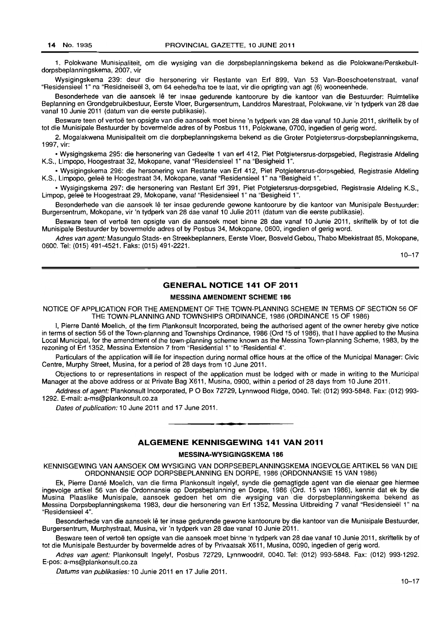1. Polokwane Munisipaliteit, om die wysiging van die dorpsbeplanningskema bekend as die Polokwane/Perskebultdorpsbeplanningskema, 2007, vir

Wysigingskema 239: deur die hersonering vir Restante van Erf 899, Van 53 Van-Boeschoetenstraat, vanaf "Residensieel 1" na "Residneiseel 3, om 64 eehede/ha toe te laat, vir die oprigting van agt (6) wooneenhede.

Besonderhede van die aansoek lê ter insae gedurende kantoorure by die kantoor van die Bestuurder: Ruimtelike Beplanning en Grondgebruikbestuur, Eerste Vloer, Burgersentrum, Landdros Marestraat, Polokwane, vir 'n tydperk van 28 dae vanaf 10 Junie 2011 (datum van die eerste publikasie).

Besware teen of vertoë ten opsigte van die aansoek moet binne 'n tydperk van 28 dae vanaf 10 Junie 2011, skriftelik by of tot die Munisipale Bestuurder by bovermelde adres of by Posbus 111, Polokwane, 0700, ingedien of gerig word.

2. Mogalakwena Munisipaliteit om die dorpbeplanningskema bekend as die Groter Potgietersrus-dorpsbeplanningskema, 1997, vir:

• Wysigingskema 295: die hersonering van Gedeelte 1 van erf 412, Piet Potgietersrus-dorpsgebied, Registrasie Afdeling K.S., Limpopo, Hoogestraat 32, Mokopane, vanaf "Residensieel 1" na "Besigheid 1".

• Wysigingskema 296: die hersonering van Restante van Erf 412, Piet Potgietersrus-dorpsgebied, Registrasie Afdeling K.S., Limpopo, gelee te Hoogestraat 34, Mokopane, vanaf "Residensieel 1" na "Besigheid 1" .

• Wysigingskema 297: die hersonering van Restant Erf 391, Piet Potgietersrus-dorpsgebied, Registrasie Afdeling K.S., Limpop, geleë te Hoogestraat 29, Mokopane, vanaf "Residensieel 1" na "Besigheid 1".

Besonderhede van die aansoek lê ter insae gedurende gewone kantoorure by die kantoor van Munisipale Bestuurder: Burgersentrum, Mokopane, vir 'n tydperk van 28 dae vanaf 10 Julie 2011 (datum van die eerste publikasie).

Besware teen of vertoë ten opsigte van die aansoek moet binne 28 dae vanaf 10 Junie 2011, skriftelik by of tot die Munisipale Bestuurder by bovermelde adres of by Posbus 34, Mokopane, 0600, ingedien of gerig word.

Adres van agent: Masungulo Stads- en Streekbeplanners, Eerste Vloer, Bosveld Gebou, Thabo Mbekistraat 85, Mokopane, 0600. Tel: (015) 491-4521. Faks: (015) 491-2221.

10-17

## **GENERAL NOTICE 141 OF 2011**

#### MESSINA AMENDMENT SCHEME 186

NOTICE OF APPLICATION FOR THE AMENDMENT OF THE TOWN-PLANNING SCHEME IN TERMS OF SECTION 56 OF THE TOWN-PLANNING AND TOWNSHIPS ORDINANCE, 1986 (ORDINANCE 15 OF 1986)

I, Pierre Dante Moelich, of the firm Plankonsult Incorporated, being the authorised agent of the owner hereby give notice in terms of section 56 of the Town-planning and Townships Ordinance, 1986 (Ord 15 of 1986), that I have applied to the Musina Local Municipal, for the amendment of the town-planning scheme known as the Messina Town-planning Scheme, 1983, by the rezoning of Erf 1352, Messina Extension 7 from "Residential 1" to "Residential 4".

Particulars of the application will lie for inspection during normal office hours at the office of the Municipal Manager: Civic Centre, Murphy Street, Musina, for a period of 28 days from 10 June 2011.

Objections to or representations in respect of the application must be lodged with or made in writing to the Municipal Manager at the above address or at Private Bag X611, Musina, 0900, within a period of 28 days from 10 June 2011.

Address of agent: Plankonsult Incorporated, P O Box 72729, Lynnwood Ridge, 0040. Tel: (012) 993-5848. Fax: (012) 993-1292. E-mail: a-ms@plankonsult.co.za

Dates of publication: 10 June 2011 and 17 June 2011.

### **--. ALGEMENE KENNISGEWING 141 VAN 2011**

#### MESSINA-WYSIGINGSKEMA 186

KENNISGEWING VAN AANSOEK OM WYSIGING VAN DORPSEBEPLANNINGSKEMA INGEVOLGE ARTIKEL 56 VAN DIE ORDONNANSIE OOP DORPSBEPLANNING EN DORPE, 1986 (ORDONNANSIE 15 VAN 1986)

Ek, Pierre Dante Moelich, van die firma Plankonsult ingelyf, synde die gemagtigde agent van die eienaar gee hiermee ingevolge artikel 56 *van* die Ordonnansie op Dorpsbeplanning en Dorpe, 1986 (Ord. 15 van 1986), kennis dat ek by die Musina Plaaslike Munisipale, aansoek gedoen het om die wysiging van die dorpsbeplanningskema bekend as Messina Dorpsbeplanningskema 1983, deur die hersonering van Erf 1352, Messina Uitbreiding 7 vanaf "Residensieel 1" na "Residensieel 4".

Besonderhede van die aansoek lê ter insae gedurende gewone kantoorure by die kantoor van die Munisipale Bestuurder, Burgersentrum, Murphystraat, Musina, vir 'n tydperk van 28 dae vanaf 10 Junie 2011.

Besware teen of vertoë ten opsigte van die aansoek moet binne 'n tydperk van 28 dae vanaf 10 Junie 2011, skriftelik by of tot die Munisipale Bestuurder by bovermelde adres of by Privaatsak X611, Musina, 0090, ingedien of gerig word.

Adres van agent: Plankonsult Ingelyf, Posbus 72729, Lynnwoodrif, 0040. Tel: (012) 993-5848. Fax: (012) 993-1292. E-pos: a-ms@plankonsult.co.za

Datums van publikasies: 10 Junie 2011 en 17 Julie 2011.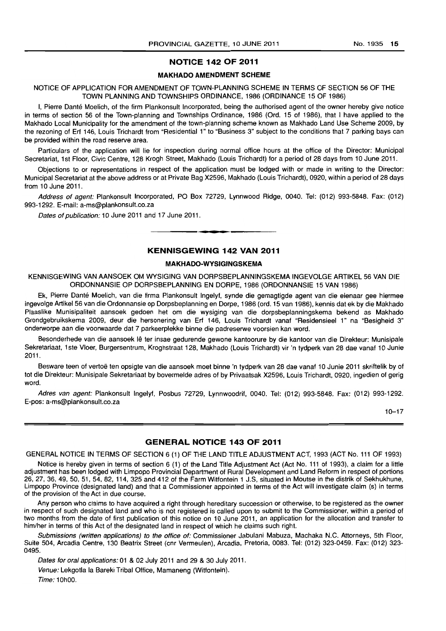## **NOTICE 142 OF 2011**

#### **MAKHADO AMENDMENT SCHEME**

## NOTICE OF APPLICATION FOR AMENDMENT OF TOWN-PLANNING SCHEME IN TERMS OF SECTION 56 OF THE TOWN PLANNING AND TOWNSHIPS ORDINANCE, 1986 (ORDINANCE 15 OF 1986)

I, Pierre Danté Moelich, of the firm Plankonsult Incorporated, being the authorised agent of the owner hereby give notice in terms of section 56 of the Town-planning and Townships Ordinance, 1986 (Ord. 15 of 1986), that I have applied to the Makhado Local Municipality for the amendment of the town-planning scheme known as Makhado Land Use Scheme 2009, by the rezoning of Erf 146, Louis Trichardt from "Residential 1" to "Business 3" subject to the conditions that 7 parking bays can be provided within the road reserve area.

Particulars of the application will lie for inspection during normal office hours at the office of the Director: Municipal Secretariat, 1st Floor, Civic Centre, 128 Krogh Street, Makhado (Louis Trichardt) for a period of 28 days from 10 June 2011.

Objections to or representations in respect of the application must be lodged with or made in writing to the Director: Municipal Secretariat at the above address or at Private Bag X2596, Makhado (Louis Trichardt), 0920, within a period of 28 days from 10 June 2011.

Address of agent: Plankonsult Incorporated, PO Box 72729, Lynnwood Ridge, 0040. Tel: (012) 993-5848. Fax: (012) 993-1292. E-mail: a-ms@plankonsult.co.za

Dates of publication: 10 June 2011 and 17 June 2011.

## **KENNISGEWING 142 VAN 2011**

I **• •** 

#### **MAKHADO-WYSIGINGSKEMA**

KENNISGEWING VAN AANSOEK OM WYSIGING VAN DORPSBEPLANNINGSKEMA INGEVOLGE ARTIKEL 56 VAN DIE ORDONNANSIE OP DORPSBEPLANNING EN DORPE, 1986 (ORDONNANSIE 15 VAN 1986)

Ek, Pierre Dante Moelich, van die firma Plankonsult Ingelyf, synde die gemagtigde agent van die eienaar gee hiermee ingevolge Artikel 56 van die Ordonnansie op Dorpsbeplanning en Dorpe, 1986 (ord. 15 van 1986), kennis dat ek by die Makhado Plaaslike Munisipaliteit aansoek gedoen het om die wysiging van die dorpsbeplanningskema bekend as Makhado Grondgebruikskema 2009, deur die hersonering van Erf 146, Louis Trichardt vanaf "Residensieel 1" na "Besigheid 3" onderworpe aan die voorwaarde dat 7 parkeerplekke binne die padreserwe voorsien kan word.

Besonderhede van die aansoek lê ter insae gedurende gewone kantoorure by die kantoor van die Direkteur: Munisipale Sekretariaat, 1 ste Vloer, Burgersentrum, Kroghstraat 128, Makhado (Louis Trichardt) vir 'n tydperk van 28 dae vanaf 10 Junie 2011.

Besware teen of vertoë ten opsigte van die aansoek moet binne 'n tydperk van 28 dae vanaf 10 Junie 2011 skriftelik by of tot die Direkteur: Munisipale Sekretariaat by bovermelde adres of by Privaatsak X2596, Louis Trichardt, 0920, ingedien of gerig word.

Adres van agent: Plankonsult Ingelyf, Posbus 72729, Lynnwoodrif, 0040. Tel: (012) 993-5848. Fax: (012) 993-1292. E-pos: a-ms@plankonsult.co.za

10-17

### **GENERAL NOTICE 143 OF 2011**

GENERAL NOTICE IN TERMS OF SECTION 6 (1) OF THE LAND TITLE ADJUSTMENT ACT, 1993 (ACT No. 111 OF 1993)

Notice is hereby given in terms of section 6 (1) of the Land Title Adjustment Act (Act No. 111 of 1993), a claim for a little adjustment has been lodged with Limpopo Provincial Department of Rural Development and Land Reform in respect of portions 26, 27, 36, 49, 50, 51, 54, 82, 114, 325 and 412 of the Farm Witfontein 1 J.S, situated in Moutse in the distrik of Sekhukhune, Limpopo Province (designated land) and that a Commissioner appointed in terms of the Act will investigate claim (s) in terms of the provision of the Act in due course.

Any person who claims to have acquired a right through hereditary succession or otherwise, to be registered as the owner in respect of such designated land and who is not registered is called upon to submit to the Commissioner, within a period of two months from the date of first publication of this notice on 10 June 2011, an application for the allocation and transfer to him/her in terms of this Act of the designated land in respect of which he claims such right.

Submissions (written applications) to the office of: Commissioner Jabulani Mabuza, Machaka N.C. Attorneys, 5th Floor, Suite 504, Arcadia Centre, 130 Beatrix Street (cnr Vermeulen), Arcadia, Pretoria, 0083. Tel: (012) 323-0459. Fax: (012) 323- 0495.

Dates for oral applications: 01 & 02 July 2011 and 29 & 30 July 2011.

Venue: Lekgotla la Bareki Tribal Office, Mamaneng (Witfontein). Time: 10hOO.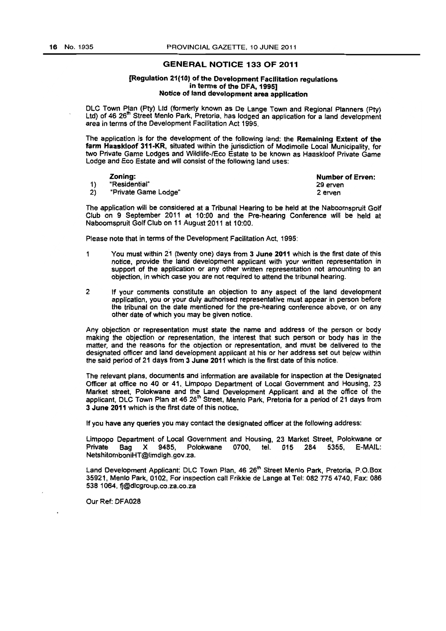## GENERAL NOTICE 133 **OF** 2011

#### {Regulation 21(10, of the Development FacUitation regulations in terms of the DFA, 1995] Notice of land development area appficatlon

DLC Town Plan (Pty) Ltd (formerly known as De Lange Town and Regional Planners (Pty) Ltd) of 46 26<sup>th</sup> Street Menlo Park, Pretoria, has lodged an application for a land development area in terms of the Development Facilitation Act 1995.

The application is for the development of the following land: the Remaining Extent of the farm Haaakioof 311~KR, situated Within the jurisdiction of Modimolle Local Municipality, for two Private Game Lodges and Wildlife~lEco Estate to be known as Haaskloof Private Game Lodge and Eco Estate and will consist of the following land uses:

| Zonina:              | <b>Number of Erven:</b> |
|----------------------|-------------------------|
| "Residential"        | 29 erven                |
| "Private Game Lodge" | 2 erven                 |

The application will be considered at a Tribunal Hearing to be held at the Naboomspruit Golf Club on 9 September 2011 at 10:00 and the Pre-hearing Conference will be held at Naboomspruit Golf Club on 11 August 2011 at 10:00,

Please note that in terms of the Development Facilitation Act, 1995:

- 1 You must within 21 (twenty one) days from 3 June 2011 which is the first date of this notice, provide the land development applicant with your written representation in support of the application or any other written representation not amounting to an objection. in which case you are not required to attend the tribunal hearing.
- 2 If your comments constitute an objection to any aspect of the land development application, you or your duly authorised representative must appear in person before the tribunal on the date mentioned for the pre-hearing conference above, or on any other date of which you may be given notice.

Any objection or representation must state the name and address of the person or body making the objection or representation, the interest that such person or body has In the matter, and the reasons for the objection or representation, and must be delivered to the designated officer and land development applicant at his or her address set out below within the said period of 21 days from 3 June 2011 which is the first date of this notice.

The refevant plans, documents and information are available for inspection at the Designated Officer at office no 40 or 41, Limpopo Department of Local Government and Housing, 23 Market street. Polokwane and the Land Development Applicant and at the office of the applicant, DLC Town Plan at 46 26<sup>th</sup> Street, Menlo Park, Pretoria for a period of 21 days from 3 June 2011 which is the first date of this notice.

If you have any queries you may contact the designated officer at the following address:

Limpopo Department of Local GOvernment and Housing, 23 Market Street, Pofokwane or Private Bag X 9485, Polokwane 0700, tel. 015 284 5355. E-MAIL: NetshilomboniHT@limdlgh.gov.za.

Land Development Applicant: DLC Town Plan, 46 26<sup>th</sup> Street Menlo Park, Pretoria, P.O.Box 35921. Menlo Park, 0102, For inspection call Fril<kie de Lange at Tet 082 7754740, Fax; *086*  538 1064. fj@dlcgroup.co.za,co.za

Our Ref: DFA028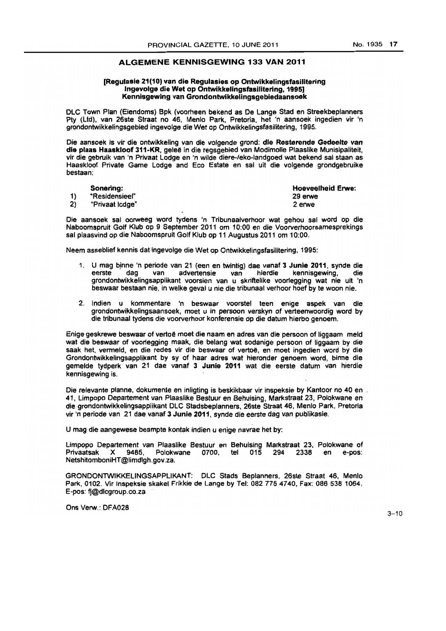Hoeveelheid Eme:

29 erwe 2erwe

## ALGEMENE KENNISGEWING 133 VAN 2011

#### [Regulasle 21(10) van die Regulasies op Onlwikkelingsfasililering lngevolge die Wet op Ontwikkelingsfasilitering, 1995] Kennlsgewing van Grondontwikkelingsgebiedaansoek

OLC Town Plan (Eiendoms) Spk (voorneen bekend as De Lange Stad en Streekbeplanners Pty (Ltd), van 26ste Straat no 46, Menlo Park, Pretoria, het 'n aansoek ingedien vir 'n grondontwlkkelingsgebied ingevolge die Wet op Ontwikkelingsfasifitering, 1995.

Die aansoek is vir die ontwikkeling van die volgende grond: die Resterende Gedeelte van die plaas Haaskloof 311-KR. gelee in die regsgebied van Modimolle Plaaslike Munisipaliteit, vir die gebruik van 'n Privaat Lodge en 'n wilde diere-/eko-landgoed wat bekend sal staan as Haaskloof Private Game Lodge and Eco Estate en sal uit die volgende grondgebruike bestaan:

|    | Sonering:       |
|----|-----------------|
| 1) | "Residensieel"  |
| 2) | "Privaat lodge" |

Die aansoek sal oorweeg word tydens 'n Tribunaalverhoor wat gehou sal word op die Naboomsprult Golf Klub op 9 September 2011 om 10:00 en die Voorverhoorsamesprekings sal plaasvind op die Naboomspruit Golf Klub op 11 Augustus 2011 om 10:00,

Neem asseblief kennis dat ingevolge die Wet op Ontwikkelingsfasilitering. 1995:

- 1. U mag bjnne 'n periode van 21 (een en twintig) dae vanaf 3 Junia 2011, synde die eerste deg van advertensie van hlerdie kennisgewin9. die grondontwikkelingsapplikant voorsien van u skriftelike voorlegging wat nie uit 'n beswaar bastaan nie. in welke geval u nie die tribunaal verhoor hoef by te woon nie.
- 2. Indien u kommentare 'n beswaar voorstel teen enige aspek van die grondontwikkelingsaansoek, moet u in persoon verskyn of verteenwoordig word by die tribunaa! tydens die voorvernoor konferensie op die datum hierbo genoem.

Enige geskrewe beswaar of vertoë moet die naam en adres van die persoon of liggaam meld wat die beswaar of voorlegging maak, die belang wat sodanige persoon of liggaam by die saak het, vermeld, en die redes vir die beswaar of vertoë, en moet ingedien word by die Grondontwikkelingsapplikant by sy of haar adres wat hieronder genoem word, binne die gemelde tydperk van 21 dae vanaf 3 Junia 2011 wat die eerste datum van hierdie kennisgewing is.

Die relevante planne, dokumente en inligting is beskikbaar vir inspeksie by Kantoor no 40 en 41, Limpopo Departement van Plaaslike Bestuur en Behuising, Markstraat 23, Polokwane en die grondontwikkelingsapplikant DLC Stadsbeplanners, 26ste Straat 46, Menlo Park, Pretoria vir 'n periode van 21 dae vanaf 3 Junie 2011, synde die eerste dag van publikasie,

U mag die aangewese beampte kontak indien u enige navrae het by:

Limpopo Departement van Plaaslike Bestuur en Behuising Markstraat 23, Polokwane of<br>Privaatsak X 9485, Polokwane 0700, tel 015 294 2338 en e-pos: Privaatsak X 9465. Polokwane 0700, tel 015 294 2338 en e-pas: NefshitomboniHT@limdlgh.gov,za.

GRONOONTWIKKELINGSAPPLIKANT: OLC Stads Beplanners, 26ste Straat 46, Menlo Park, 0102. Vir Inspekeie skakel Frikkie de Lange by Tel: 082 7754740, Fax: 086 538 1064, E-pos: fj@dlcgroup.co.za

Ons Verw.: DFA028

 $3 - 10$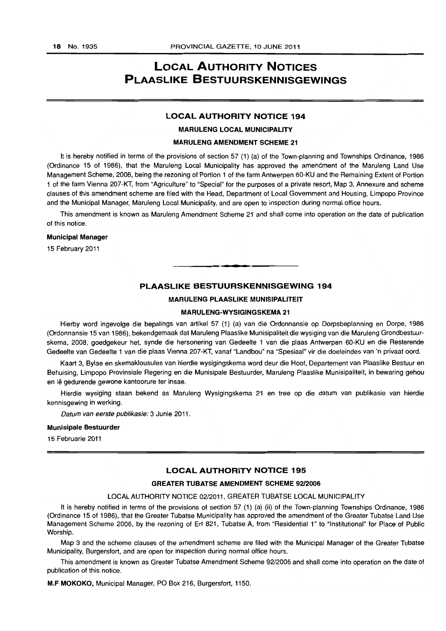## **LOCAL AUTHORITY NOTICES PLAASLIKE BESTUURSKENNISGEWINGS**

## **LOCAL AUTHORITY NOTICE 194**

#### **MARULENG LOCAL MUNICIPALITY**

#### **MARULENG AMENDMENT SCHEME 21**

**It** is hereby notified in terms of the provisions of section 57 (1) (a) of the Town-planning and Townships Ordinance, 1986 (Ordinance 15 of 1986), that the Maruleng Local Municipality has approved the amendment of the Maruleng Land Use Management Scheme, 2008, being the rezoning of Portion 1 of the farm Antwerpen 60-KU and the Remaining Extent of Portion 1 of the farm Vienna 207-KT, from "Agriculture" to "Special" for the purposes of a private resort, Map 3, Annexure and scheme clauses of this amendment scheme are filed with the Head, Department of Local Government and Housing, Limpopo Province and the Municipal Manager, Maruleng Local Municipality, and are open to inspection during normal office hours.

This amendment is known as Maruleng Amendment Scheme 21 and shall come into operation on the date of publication of this notice.

#### **Municipal Manager**

15 February **2011** 

## **PLAASLIKE BESTUURSKENNISGEWING 194**

. **- .** 

## **MARULENG PLAASLIKE MUNISIPALITEIT**

#### **MARULENG-WYSIGINGSKEMA 21**

Hierby word ingevolge die bepalings van artikel 57 (1) (a) van die Ordonnansie op Dorpsbeplanning en Dorpe, 1986 (Ordonnansie 15 van 1986), bekendgemaak dat Maruleng Plaaslike Munisipaliteit die wysiging van die Maruleng Grondbestuurskema, 2008, goedgekeur het, synde die hersonering van Gedeelte 1 van die plaas Antwerpen 60-KU en die Resterende Gedeelte van Gedeelte 1 van die plaas Vienna 207-KT, vanaf "Landbou" na "Spesiaal" vir die doeleindes van 'n privaat oord.

Kaart 3, Bylae en skemaklousules van hierdie wysigingskema word deur die Hoof, Departement van Plaaslike Bestuur en Behuising, Limpopo Provinsiale Regering en die Munisipale Bestuurder, Maruleng Plaaslike Munisipaliteit, in bewaring gehou en lê gedurende gewone kantoorure ter insae.

Hierdie wysiging staan bekend as Maruleng Wysigingskema 21 en tree op die datum van publikasie van hierdie kennisgewing in werking.

Datum van eerste publikasie: 3 Junie 2011.

#### **Munisipale Bestuurder**

15 Februarie 2011

## **LOCAL AUTHORITY NOTICE 195**

#### **GREATER TUBATSE AMENDMENT SCHEME 9212006**

#### LOCAL AUTHORITY NOTICE 02/2011, GREATER TUBATSE LOCAL MUNICIPALITY

It is hereby notified in terms of the provisions of section 57 (1) (a) (ii) of the Town-planning Townships Ordinance, 1986 (Ordinance 15 of 1986), that the Greater Tubatse Municipality has approved the amendment of the Greater Tubatse Land Use Management Scheme 2006, by the rezoning of Erf 821, Tubatse A, from "Residential 1" to "Institutional" for Place of Public Worship.

Map 3 and the scheme clauses of the amendment scheme are filed with the Municipal Manager of the Greater Tubatse Municipality, Burgersfort, and are open for inspection during normal office hours.

This amendment is known as Greater Tubatse Amendment Scheme 92/2006 and shall come into operation on the date of publication of this notice.

**M.F MOKOKO,** Municipal Manager, PO Box 216, Burgersfort, 1150.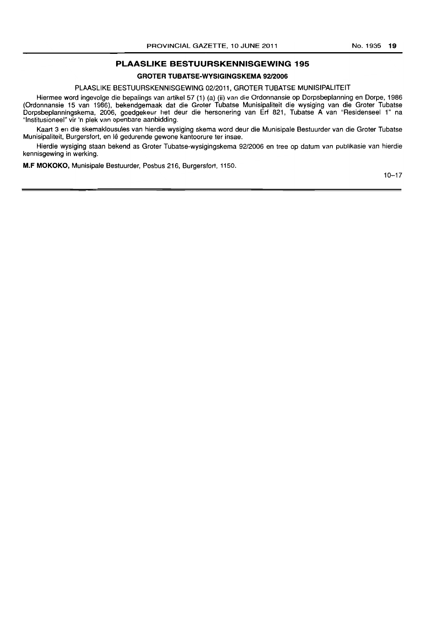## **PLAASLIKE BESTUURSKENNISGEWING 195**

## **GROTER TUBATSE-WVSIGINGSKEMA 9212006**

## PLAASLIKE BESTUURSKENNISGEWING 02/2011, GROTER TUBATSE MUNISIPALITEIT

Hiermee word ingevolge die bepalings van artikel 57 (i) (a) (li) van die Ordonnansie op Dorpsbeplanning en Dorpe, 1986 (Ordonnansie 15 van 1986), bekendgemaak dat die Groter Tubatse Munisipaliteit die wysiging van die Groter Tubatse Dorpsbeplanningskema, 2006, goedgekeur het deur die hersonering van Erf 821, Tubatse A van "Residenseel 1 n na "Institusioneel" vir 'n plek van openbare aanbidding.

Kaart 3 en die skemaklousules van hierdie wysiging skema word deur die Munisipale Bestuurder van die Groter Tubatse Munisipaliteit, Burgersfort, en lê gedurende gewone kantoorure ter insae.

Hierdie wysiging staan bekend as Groter Tubatse-wysigingskema 9212006 en tree op datum van publikasie van hierdie kennisgewing in werking.

**M.F MOKOKO,** Munisipale Bestuurder, Posbus 216, Burgersfort, 1150.

 $10 - 17$